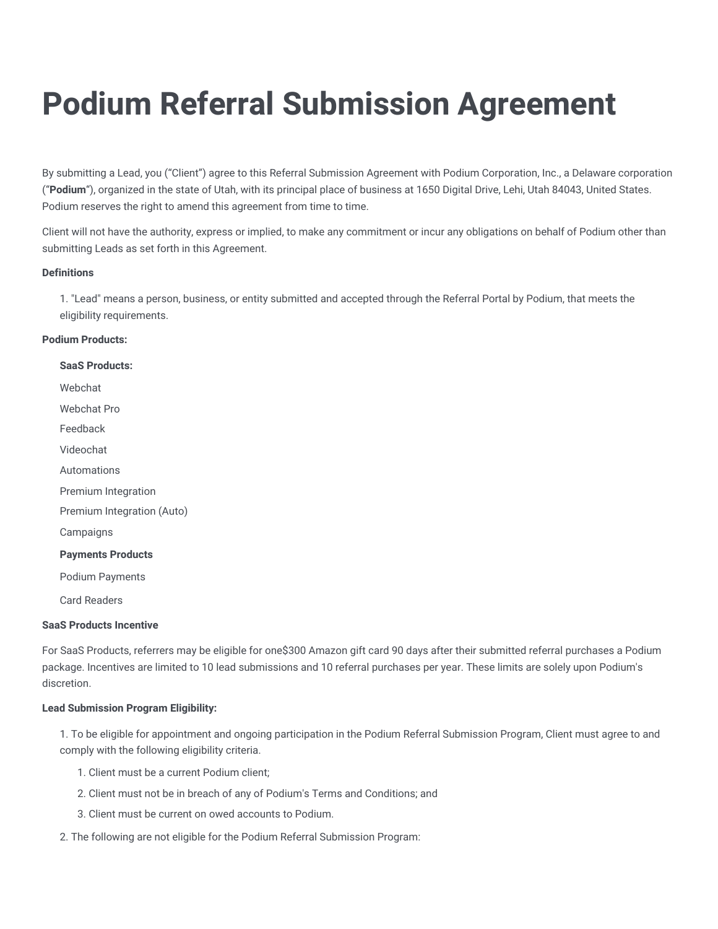# **Podium Referral Submission Agreement**

By submitting a Lead, you ("Client") agree to this Referral Submission Agreement with Podium Corporation, Inc., a Delaware corporation ("**Podium**"), organized in the state of Utah, with its principal place of business at 1650 Digital Drive, Lehi, Utah 84043, United States. Podium reserves the right to amend this agreement from time to time.

Client will not have the authority, express or implied, to make any commitment or incur any obligations on behalf of Podium other than submitting Leads as set forth in this Agreement.

## **Definitions**

1. "Lead" means a person, business, or entity submitted and accepted through the Referral Portal by Podium, that meets the eligibility requirements.

### **Podium Products:**

# **SaaS Products:** Webchat Webchat Pro Feedback Videochat Automations Premium Integration Premium Integration (Auto) **Campaigns Payments Products** Podium Payments Card Readers

#### **SaaS Products Incentive**

For SaaS Products, referrers may be eligible for one\$300 Amazon gift card 90 days after their submitted referral purchases a Podium package. Incentives are limited to 10 lead submissions and 10 referral purchases per year. These limits are solely upon Podium's discretion.

## **Lead Submission Program Eligibility:**

1. To be eligible for appointment and ongoing participation in the Podium Referral Submission Program, Client must agree to and comply with the following eligibility criteria.

- 1. Client must be a current Podium client;
- 2. Client must not be in breach of any of Podium's Terms and Conditions; and
- 3. Client must be current on owed accounts to Podium.
- 2. The following are not eligible for the Podium Referral Submission Program: